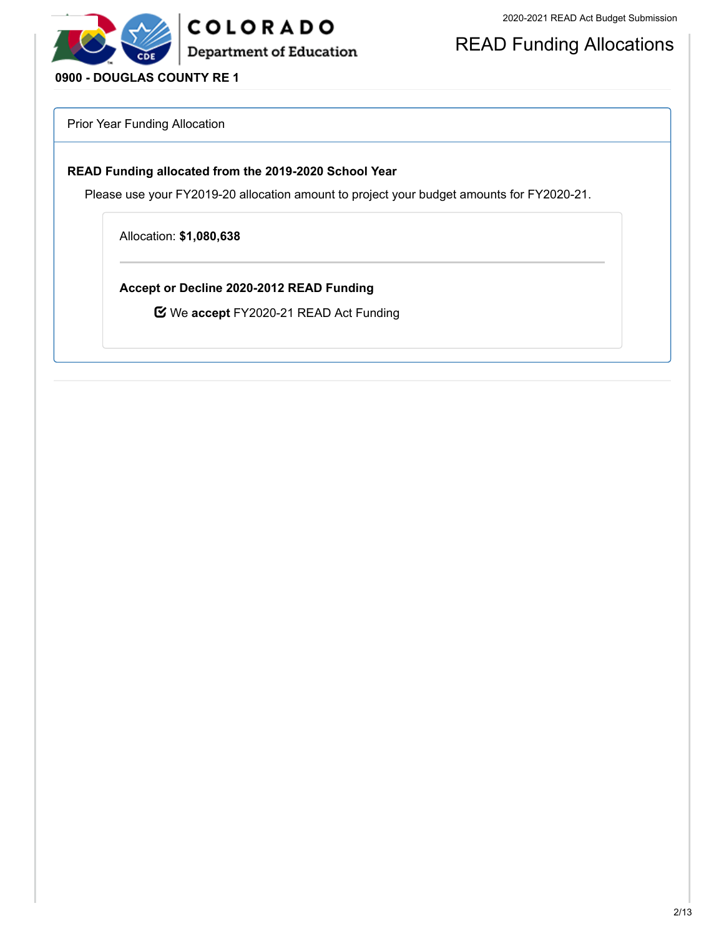

## READ Funding Allocations

### **0900 - DOUGLAS COUNTY RE 1**

Prior Year Funding Allocation

#### **READ Funding allocated from the 2019-2020 School Year**

Please use your FY2019-20 allocation amount to project your budget amounts for FY2020-21.

Allocation: **\$1,080,638**

**Accept or Decline 2020-2012 READ Funding**

We **accept** FY2020-21 READ Act Funding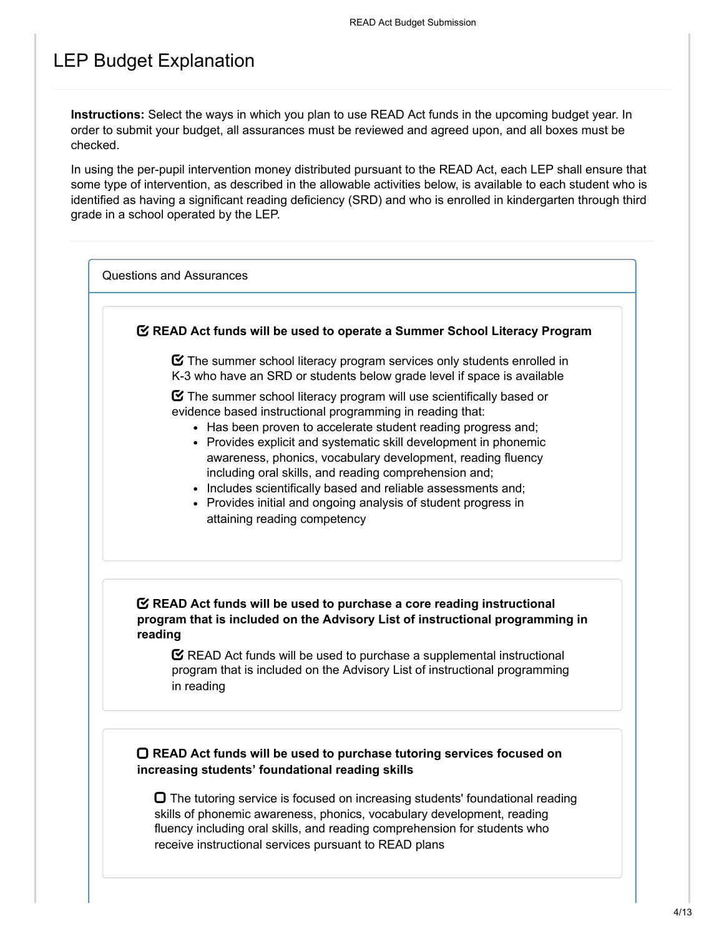## LEP Budget Explanation

**Instructions:** Select the ways in which you plan to use READ Act funds in the upcoming budget year. In order to submit your budget, all assurances must be reviewed and agreed upon, and all boxes must be checked.

In using the per-pupil intervention money distributed pursuant to the READ Act, each LEP shall ensure that some type of intervention, as described in the allowable activities below, is available to each student who is identified as having a significant reading deficiency (SRD) and who is enrolled in kindergarten through third grade in a school operated by the LEP.

Questions and Assurances

#### **READ Act funds will be used to operate a Summer School Literacy Program**

 $\boldsymbol{\heartsuit}$  The summer school literacy program services only students enrolled in K-3 who have an SRD or students below grade level if space is available

 $\boldsymbol{\Xi}$  The summer school literacy program will use scientifically based or evidence based instructional programming in reading that:

- Has been proven to accelerate student reading progress and:
- Provides explicit and systematic skill development in phonemic awareness, phonics, vocabulary development, reading fluency including oral skills, and reading comprehension and;
- Includes scientifically based and reliable assessments and;
- Provides initial and ongoing analysis of student progress in attaining reading competency

### **READ Act funds will be used to purchase a core reading instructional program that is included on the Advisory List of instructional programming in reading**

 $\mathbf C$  READ Act funds will be used to purchase a supplemental instructional program that is included on the Advisory List of instructional programming in reading

#### **READ Act funds will be used to purchase tutoring services focused on increasing students' foundational reading skills**

 $\Box$  The tutoring service is focused on increasing students' foundational reading skills of phonemic awareness, phonics, vocabulary development, reading fluency including oral skills, and reading comprehension for students who receive instructional services pursuant to READ plans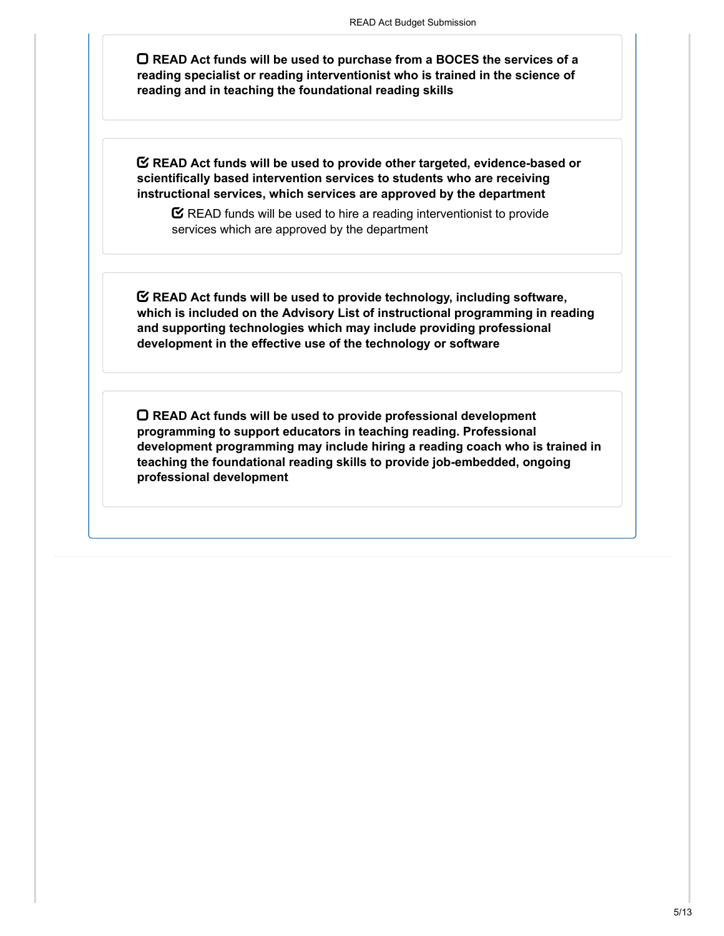**READ Act funds will be used to purchase from a BOCES the services of a reading specialist or reading interventionist who is trained in the science of reading and in teaching the foundational reading skills**

**READ Act funds will be used to provide other targeted, evidence-based or scientifically based intervention services to students who are receiving instructional services, which services are approved by the department**

 $\mathbf C$  READ funds will be used to hire a reading interventionist to provide services which are approved by the department

**READ Act funds will be used to provide technology, including software, which is included on the Advisory List of instructional programming in reading and supporting technologies which may include providing professional development in the effective use of the technology or software**

**READ Act funds will be used to provide professional development programming to support educators in teaching reading. Professional development programming may include hiring a reading coach who is trained in teaching the foundational reading skills to provide job-embedded, ongoing professional development**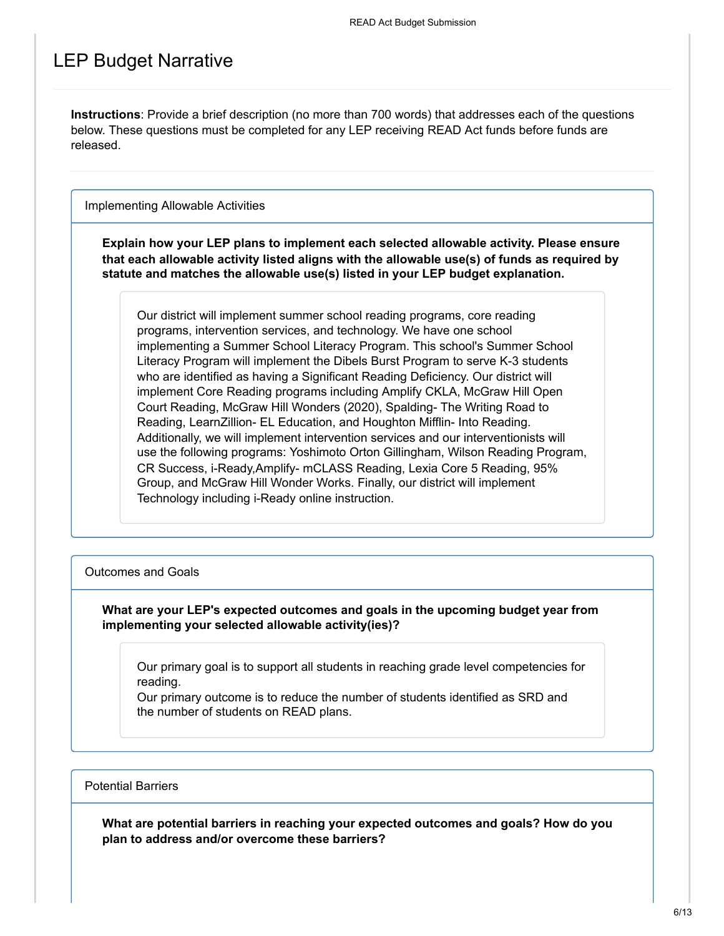## LEP Budget Narrative

**Instructions**: Provide a brief description (no more than 700 words) that addresses each of the questions below. These questions must be completed for any LEP receiving READ Act funds before funds are released.

Implementing Allowable Activities

**Explain how your LEP plans to implement each selected allowable activity. Please ensure that each allowable activity listed aligns with the allowable use(s) of funds as required by statute and matches the allowable use(s) listed in your LEP budget explanation.**

Our district will implement summer school reading programs, core reading programs, intervention services, and technology. We have one school implementing a Summer School Literacy Program. This school's Summer School Literacy Program will implement the Dibels Burst Program to serve K-3 students who are identified as having a Significant Reading Deficiency. Our district will implement Core Reading programs including Amplify CKLA, McGraw Hill Open Court Reading, McGraw Hill Wonders (2020), Spalding- The Writing Road to Reading, LearnZillion- EL Education, and Houghton Mifflin- Into Reading. Additionally, we will implement intervention services and our interventionists will use the following programs: Yoshimoto Orton Gillingham, Wilson Reading Program, CR Success, i-Ready,Amplify- mCLASS Reading, Lexia Core 5 Reading, 95% Group, and McGraw Hill Wonder Works. Finally, our district will implement Technology including i-Ready online instruction.

#### Outcomes and Goals

**What are your LEP's expected outcomes and goals in the upcoming budget year from implementing your selected allowable activity(ies)?**

Our primary goal is to support all students in reaching grade level competencies for reading.

Our primary outcome is to reduce the number of students identified as SRD and the number of students on READ plans.

#### Potential Barriers

**What are potential barriers in reaching your expected outcomes and goals? How do you plan to address and/or overcome these barriers?**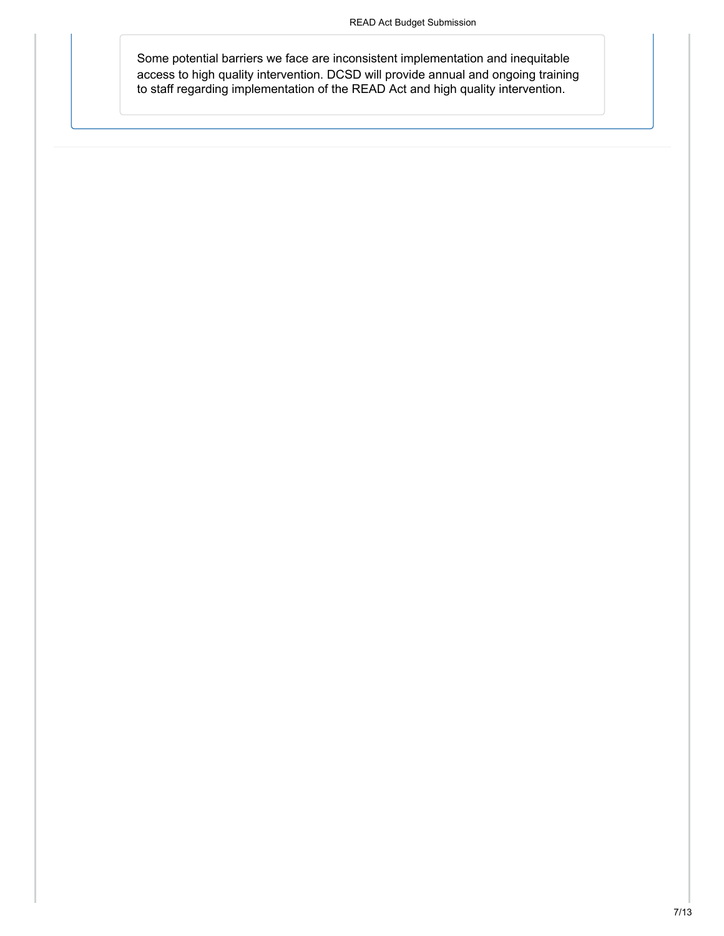Some potential barriers we face are inconsistent implementation and inequitable access to high quality intervention. DCSD will provide annual and ongoing training to staff regarding implementation of the READ Act and high quality intervention.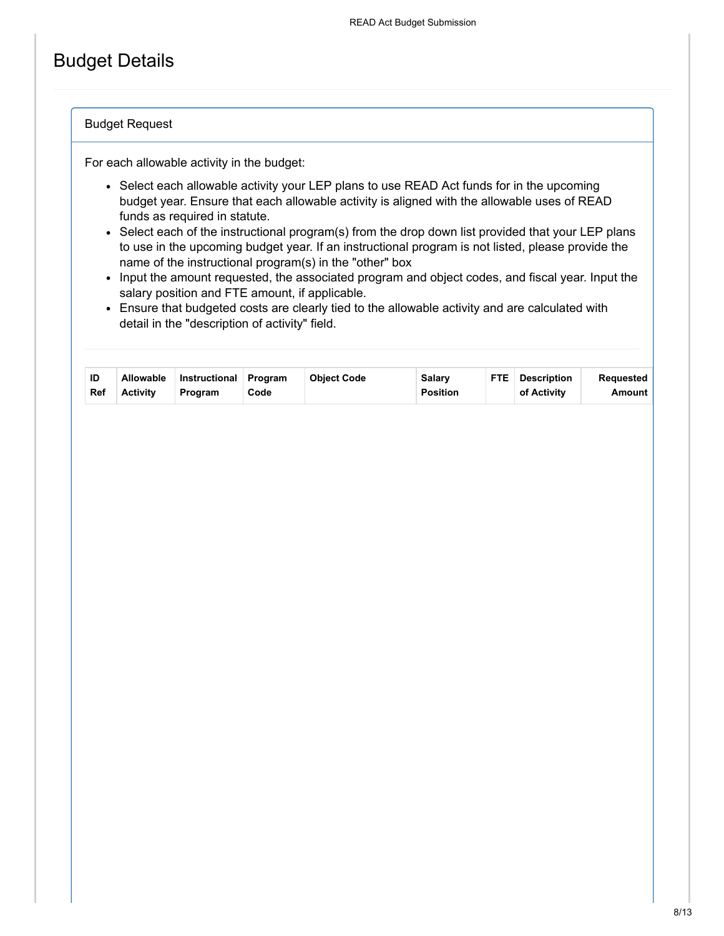## Budget Details

#### Budget Request

For each allowable activity in the budget:

- Select each allowable activity your LEP plans to use READ Act funds for in the upcoming budget year. Ensure that each allowable activity is aligned with the allowable uses of READ funds as required in statute.
- Select each of the instructional program(s) from the drop down list provided that your LEP plans to use in the upcoming budget year. If an instructional program is not listed, please provide the name of the instructional program(s) in the "other" box
- Input the amount requested, the associated program and object codes, and fiscal year. Input the salary position and FTE amount, if applicable.
- Ensure that budgeted costs are clearly tied to the allowable activity and are calculated with detail in the "description of activity" field.

| ID<br>Ref | <b>Allowable</b><br><b>Activity</b> | Instructional Program<br>Program | Code | <b>Object Code</b> | <b>Salarv</b><br><b>Position</b> | <b>FTE</b> | <b>Description</b><br>of Activity | Reauested<br><b>Amount</b> |
|-----------|-------------------------------------|----------------------------------|------|--------------------|----------------------------------|------------|-----------------------------------|----------------------------|
|-----------|-------------------------------------|----------------------------------|------|--------------------|----------------------------------|------------|-----------------------------------|----------------------------|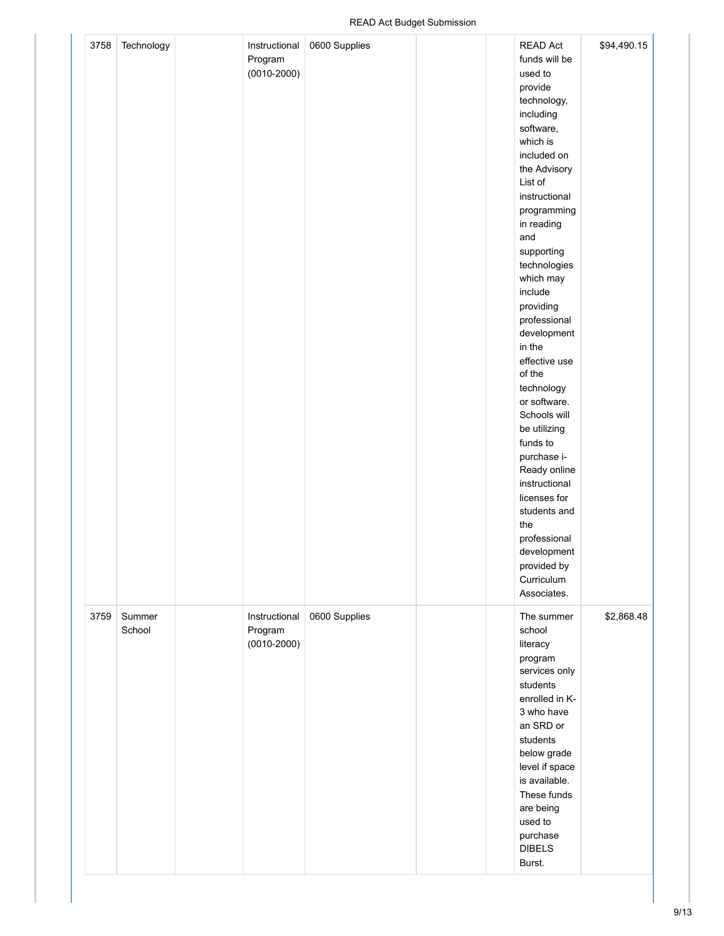| 3758 | Technology       | Instructional<br>Program<br>$(0010 - 2000)$ | 0600 Supplies |  | <b>READ Act</b><br>funds will be<br>used to<br>provide<br>technology,<br>including<br>software,<br>which is<br>included on<br>the Advisory<br>List of<br>instructional<br>programming<br>in reading<br>and<br>supporting<br>technologies<br>which may<br>include<br>providing<br>professional<br>development<br>in the<br>effective use<br>of the<br>technology<br>or software.<br>Schools will<br>be utilizing<br>funds to<br>purchase i-<br>Ready online<br>instructional<br>licenses for<br>students and<br>the<br>professional<br>development<br>provided by<br>Curriculum<br>Associates. | \$94,490.15 |
|------|------------------|---------------------------------------------|---------------|--|-----------------------------------------------------------------------------------------------------------------------------------------------------------------------------------------------------------------------------------------------------------------------------------------------------------------------------------------------------------------------------------------------------------------------------------------------------------------------------------------------------------------------------------------------------------------------------------------------|-------------|
| 3759 | Summer<br>School | Instructional<br>Program<br>$(0010 - 2000)$ | 0600 Supplies |  | The summer<br>school<br>literacy<br>program<br>services only<br>students<br>enrolled in K-<br>3 who have<br>an SRD or<br>students<br>below grade<br>level if space<br>is available.<br>These funds<br>are being<br>used to<br>purchase<br><b>DIBELS</b><br>Burst.                                                                                                                                                                                                                                                                                                                             | \$2,868.48  |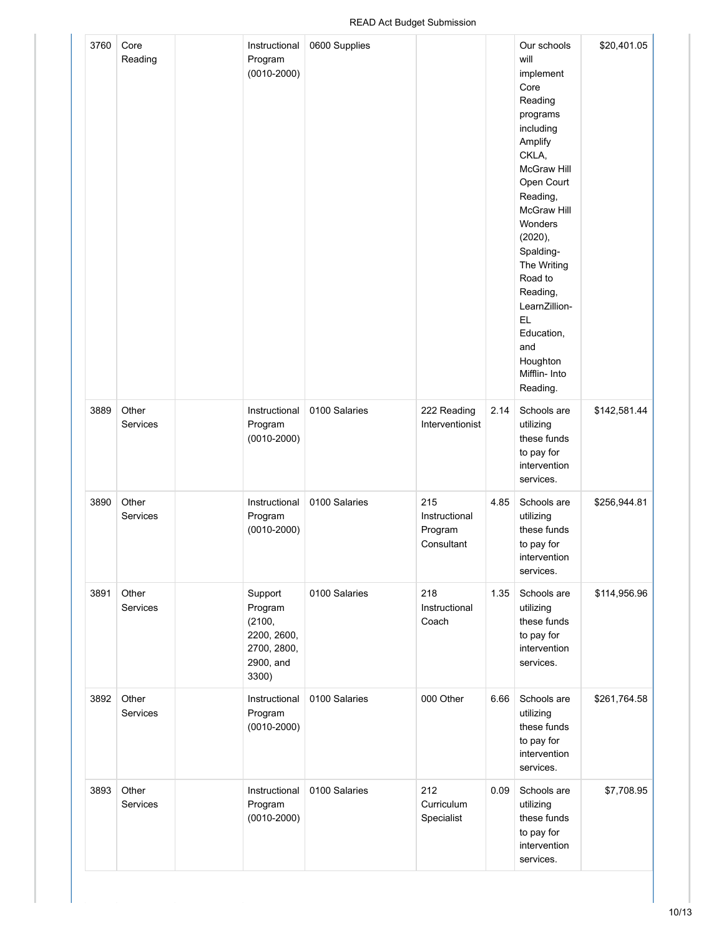| 3760 | Core<br>Reading          | Instructional<br>Program<br>$(0010 - 2000)$                                      | 0600 Supplies |                                               |      | Our schools<br>will<br>implement<br>Core<br>Reading<br>programs<br>including<br>Amplify<br>CKLA,<br>McGraw Hill<br>Open Court<br>Reading,<br>McGraw Hill<br>Wonders<br>(2020),<br>Spalding-<br>The Writing<br>Road to<br>Reading,<br>LearnZillion-<br>EL.<br>Education,<br>and<br>Houghton<br>Mifflin- Into<br>Reading. | \$20,401.05  |
|------|--------------------------|----------------------------------------------------------------------------------|---------------|-----------------------------------------------|------|-------------------------------------------------------------------------------------------------------------------------------------------------------------------------------------------------------------------------------------------------------------------------------------------------------------------------|--------------|
| 3889 | Other<br>Services        | Instructional<br>Program<br>$(0010 - 2000)$                                      | 0100 Salaries | 222 Reading<br>Interventionist                | 2.14 | Schools are<br>utilizing<br>these funds<br>to pay for<br>intervention<br>services.                                                                                                                                                                                                                                      | \$142,581.44 |
| 3890 | Other<br>Services        | Instructional<br>Program<br>$(0010 - 2000)$                                      | 0100 Salaries | 215<br>Instructional<br>Program<br>Consultant | 4.85 | Schools are<br>utilizing<br>these funds<br>to pay for<br>intervention<br>services.                                                                                                                                                                                                                                      | \$256,944.81 |
| 3891 | Other<br><b>Services</b> | Support<br>Program<br>(2100,<br>2200, 2600,<br>2700, 2800,<br>2900, and<br>3300) | 0100 Salaries | 218<br>Instructional<br>Coach                 | 1.35 | Schools are<br>utilizing<br>these funds<br>to pay for<br>intervention<br>services.                                                                                                                                                                                                                                      | \$114,956.96 |
| 3892 | Other<br><b>Services</b> | Instructional<br>Program<br>$(0010 - 2000)$                                      | 0100 Salaries | 000 Other                                     | 6.66 | Schools are<br>utilizing<br>these funds<br>to pay for<br>intervention<br>services.                                                                                                                                                                                                                                      | \$261,764.58 |
| 3893 | Other<br><b>Services</b> | Instructional<br>Program<br>$(0010 - 2000)$                                      | 0100 Salaries | 212<br>Curriculum<br>Specialist               | 0.09 | Schools are<br>utilizing<br>these funds<br>to pay for<br>intervention<br>services.                                                                                                                                                                                                                                      | \$7,708.95   |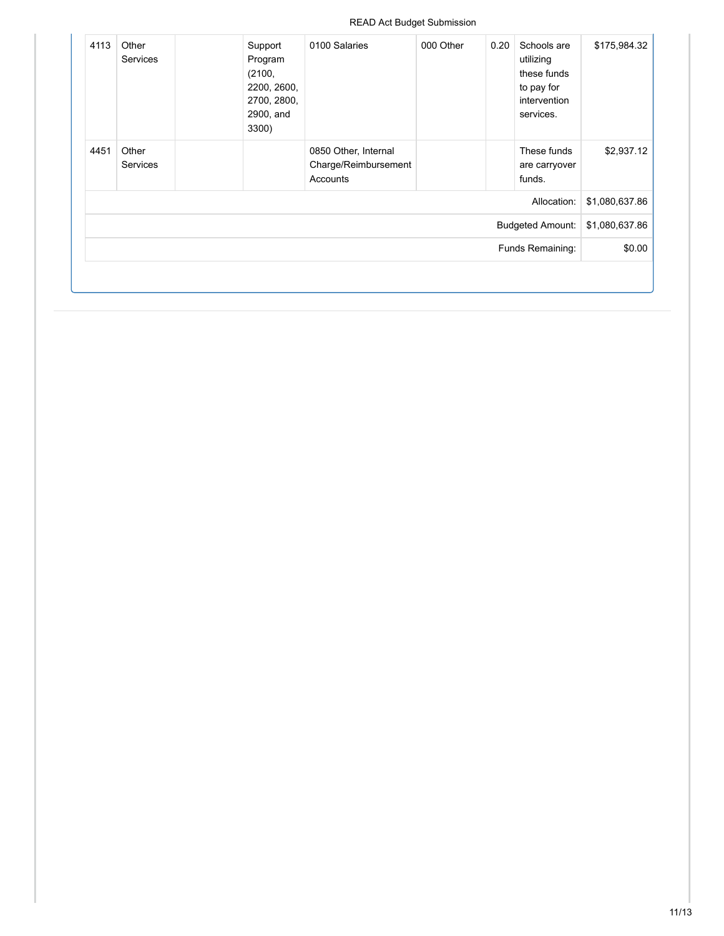#### READ Act Budget Submission

| 4113 | Other<br><b>Services</b> | Support<br>Program<br>(2100,<br>2200, 2600,<br>2700, 2800,<br>2900, and<br>3300) | 0100 Salaries                                            | 000 Other | 0.20 | Schools are<br>utilizing<br>these funds<br>to pay for<br>intervention<br>services. | \$175,984.32   |
|------|--------------------------|----------------------------------------------------------------------------------|----------------------------------------------------------|-----------|------|------------------------------------------------------------------------------------|----------------|
| 4451 | Other<br><b>Services</b> |                                                                                  | 0850 Other, Internal<br>Charge/Reimbursement<br>Accounts |           |      | These funds<br>are carryover<br>funds.                                             | \$2,937.12     |
|      |                          |                                                                                  |                                                          |           |      | Allocation:                                                                        | \$1,080,637.86 |
|      |                          |                                                                                  |                                                          |           |      | <b>Budgeted Amount:</b>                                                            | \$1,080,637.86 |
|      |                          |                                                                                  |                                                          |           |      | Funds Remaining:                                                                   | \$0.00         |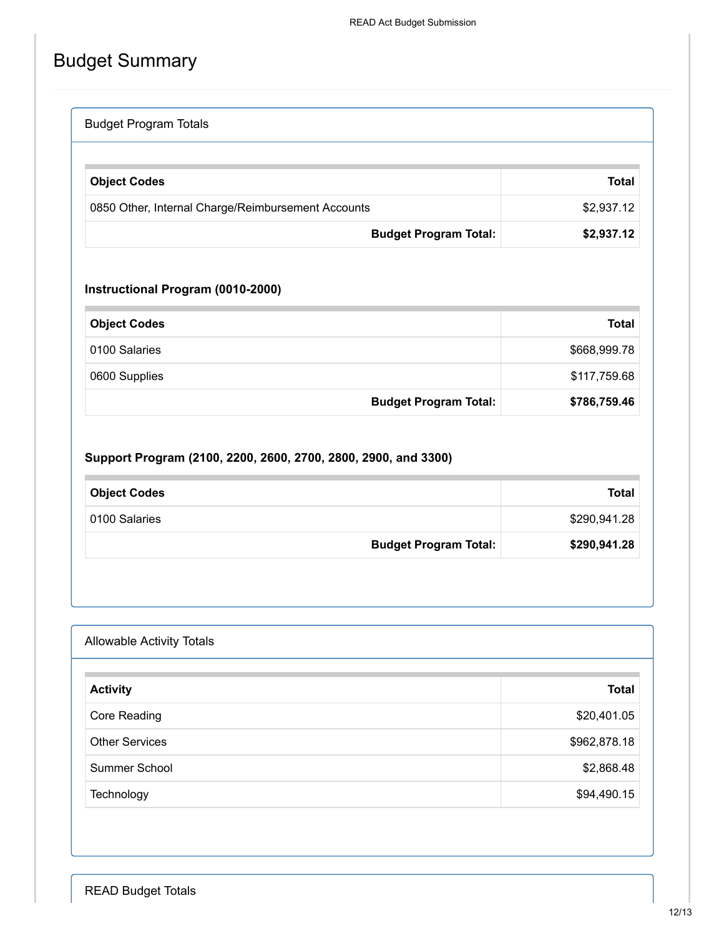# Budget Summary

| <b>Budget Program Totals</b>                       |              |
|----------------------------------------------------|--------------|
|                                                    |              |
| <b>Object Codes</b>                                | <b>Total</b> |
| 0850 Other, Internal Charge/Reimbursement Accounts | \$2,937.12   |
| <b>Budget Program Total:</b>                       | \$2,937.12   |

### **Instructional Program (0010-2000)**

| <b>Object Codes</b> |                              | <b>Total</b> |
|---------------------|------------------------------|--------------|
| 0100 Salaries       |                              | \$668,999.78 |
| 0600 Supplies       |                              | \$117,759.68 |
|                     | <b>Budget Program Total:</b> | \$786,759.46 |

### **Support Program (2100, 2200, 2600, 2700, 2800, 2900, and 3300)**

| <b>Object Codes</b>          | <b>Total</b> |
|------------------------------|--------------|
| 0100 Salaries                | \$290,941.28 |
| <b>Budget Program Total:</b> | \$290,941.28 |

### Allowable Activity Totals

| <b>Activity</b>       | <b>Total</b> |
|-----------------------|--------------|
| Core Reading          | \$20,401.05  |
| <b>Other Services</b> | \$962,878.18 |
| Summer School         | \$2,868.48   |
| Technology            | \$94,490.15  |